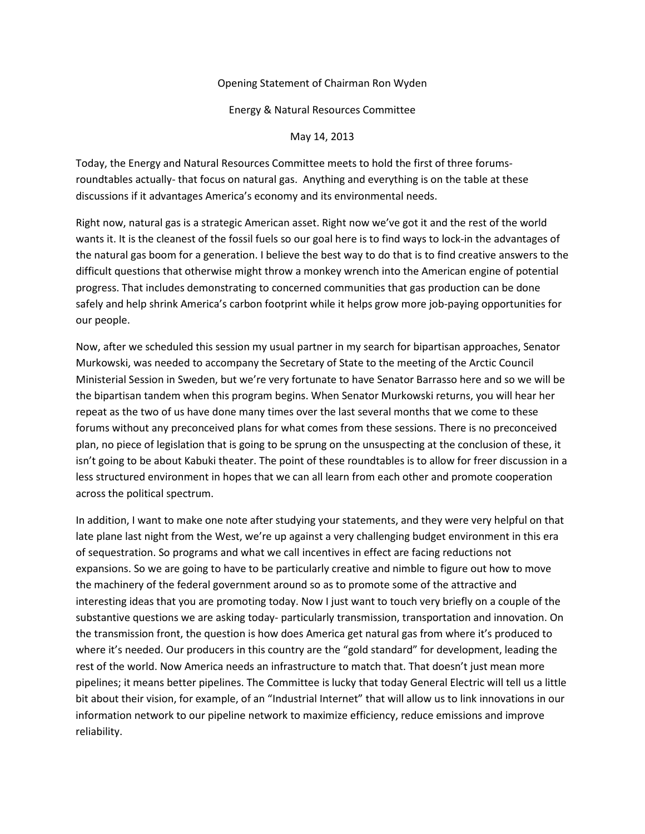## Opening Statement of Chairman Ron Wyden

Energy & Natural Resources Committee

May 14, 2013

Today, the Energy and Natural Resources Committee meets to hold the first of three forumsroundtables actually- that focus on natural gas. Anything and everything is on the table at these discussions if it advantages America's economy and its environmental needs.

Right now, natural gas is a strategic American asset. Right now we've got it and the rest of the world wants it. It is the cleanest of the fossil fuels so our goal here is to find ways to lock-in the advantages of the natural gas boom for a generation. I believe the best way to do that is to find creative answers to the difficult questions that otherwise might throw a monkey wrench into the American engine of potential progress. That includes demonstrating to concerned communities that gas production can be done safely and help shrink America's carbon footprint while it helps grow more job-paying opportunities for our people.

Now, after we scheduled this session my usual partner in my search for bipartisan approaches, Senator Murkowski, was needed to accompany the Secretary of State to the meeting of the Arctic Council Ministerial Session in Sweden, but we're very fortunate to have Senator Barrasso here and so we will be the bipartisan tandem when this program begins. When Senator Murkowski returns, you will hear her repeat as the two of us have done many times over the last several months that we come to these forums without any preconceived plans for what comes from these sessions. There is no preconceived plan, no piece of legislation that is going to be sprung on the unsuspecting at the conclusion of these, it isn't going to be about Kabuki theater. The point of these roundtables is to allow for freer discussion in a less structured environment in hopes that we can all learn from each other and promote cooperation across the political spectrum.

In addition, I want to make one note after studying your statements, and they were very helpful on that late plane last night from the West, we're up against a very challenging budget environment in this era of sequestration. So programs and what we call incentives in effect are facing reductions not expansions. So we are going to have to be particularly creative and nimble to figure out how to move the machinery of the federal government around so as to promote some of the attractive and interesting ideas that you are promoting today. Now I just want to touch very briefly on a couple of the substantive questions we are asking today- particularly transmission, transportation and innovation. On the transmission front, the question is how does America get natural gas from where it's produced to where it's needed. Our producers in this country are the "gold standard" for development, leading the rest of the world. Now America needs an infrastructure to match that. That doesn't just mean more pipelines; it means better pipelines. The Committee is lucky that today General Electric will tell us a little bit about their vision, for example, of an "Industrial Internet" that will allow us to link innovations in our information network to our pipeline network to maximize efficiency, reduce emissions and improve reliability.